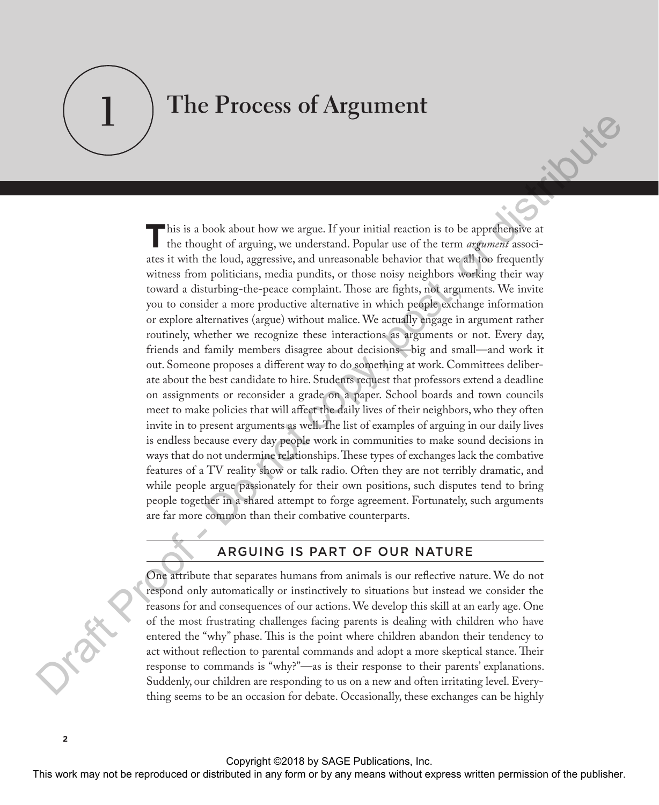# **1 The Process of Argument**

This is a book about how we argue. If your initial reaction is to be apprehensive at the thought of arguing, we understand. Popular use of the term *argument* associates it with the loud, aggressive, and unreasonable behavior that we all too frequently witness from politicians, media pundits, or those noisy neighbors working their way toward a disturbing-the-peace complaint. Those are fights, not arguments. We invite you to consider a more productive alternative in which people exchange information or explore alternatives (argue) without malice. We actually engage in argument rather routinely, whether we recognize these interactions as arguments or not. Every day, friends and family members disagree about decisions—big and small—and work it out. Someone proposes a different way to do something at work. Committees deliberate about the best candidate to hire. Students request that professors extend a deadline on assignments or reconsider a grade on a paper. School boards and town councils meet to make policies that will affect the daily lives of their neighbors, who they often invite in to present arguments as well. The list of examples of arguing in our daily lives is endless because every day people work in communities to make sound decisions in ways that do not undermine relationships. These types of exchanges lack the combative features of a TV reality show or talk radio. Often they are not terribly dramatic, and while people argue passionately for their own positions, such disputes tend to bring people together in a shared attempt to forge agreement. Fortunately, such arguments are far more common than their combative counterparts. This is a book shout how request if your initial cension is to be expedimented or the state of the state or distributed or distributed in any form or between the publisher. The state of the publishers were equivalent in a

# ARGUING IS PART OF OUR NATURE

One attribute that separates humans from animals is our reflective nature. We do not respond only automatically or instinctively to situations but instead we consider the reasons for and consequences of our actions. We develop this skill at an early age. One of the most frustrating challenges facing parents is dealing with children who have entered the "why" phase. This is the point where children abandon their tendency to act without reflection to parental commands and adopt a more skeptical stance. Their response to commands is "why?"—as is their response to their parents' explanations. Suddenly, our children are responding to us on a new and often irritating level. Everything seems to be an occasion for debate. Occasionally, these exchanges can be highly

**2**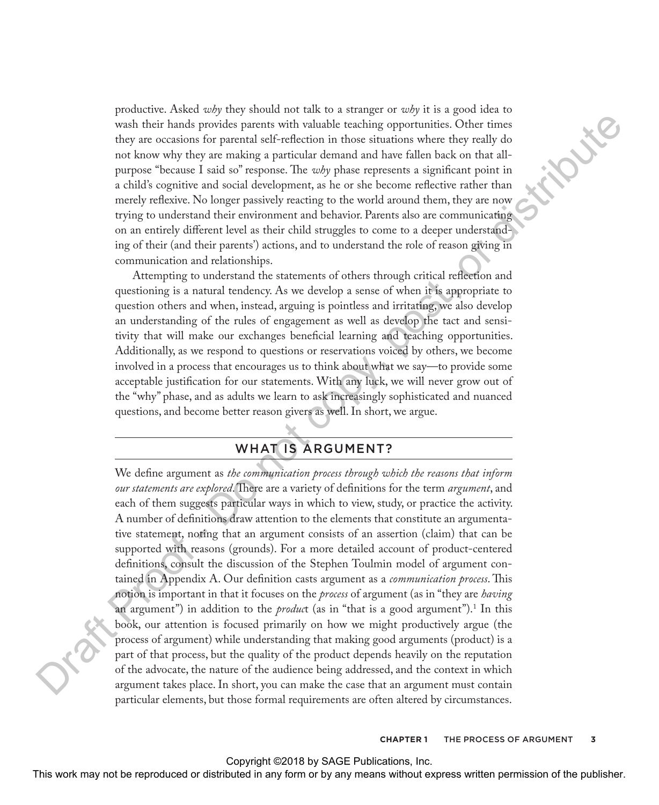productive. Asked *why* they should not talk to a stranger or *why* it is a good idea to wash their hands provides parents with valuable teaching opportunities. Other times they are occasions for parental self-reflection in those situations where they really do not know why they are making a particular demand and have fallen back on that allpurpose "because I said so" response. The *why* phase represents a significant point in a child's cognitive and social development, as he or she become reflective rather than merely reflexive. No longer passively reacting to the world around them, they are now trying to understand their environment and behavior. Parents also are communicating on an entirely different level as their child struggles to come to a deeper understanding of their (and their parents') actions, and to understand the role of reason giving in communication and relationships.

Attempting to understand the statements of others through critical reflection and questioning is a natural tendency. As we develop a sense of when it is appropriate to question others and when, instead, arguing is pointless and irritating, we also develop an understanding of the rules of engagement as well as develop the tact and sensitivity that will make our exchanges beneficial learning and teaching opportunities. Additionally, as we respond to questions or reservations voiced by others, we become involved in a process that encourages us to think about what we say—to provide some acceptable justification for our statements. With any luck, we will never grow out of the "why" phase, and as adults we learn to ask increasingly sophisticated and nuanced questions, and become better reason givers as well. In short, we argue.

# WHAT IS ARGUMENT?

We define argument as *the communication process through which the reasons that inform our statements are explored*. There are a variety of definitions for the term *argument*, and each of them suggests particular ways in which to view, study, or practice the activity. A number of definitions draw attention to the elements that constitute an argumentative statement, noting that an argument consists of an assertion (claim) that can be supported with reasons (grounds). For a more detailed account of product-centered definitions, consult the discussion of the Stephen Toulmin model of argument contained in Appendix A. Our definition casts argument as a *communication process*. This notion is important in that it focuses on the *process* of argument (as in "they are *having* an argument") in addition to the *produc*t (as in "that is a good argument").<sup>1</sup> In this book, our attention is focused primarily on how we might productively argue (the process of argument) while understanding that making good arguments (product) is a part of that process, but the quality of the product depends heavily on the reputation of the advocate, the nature of the audience being addressed, and the context in which argument takes place. In short, you can make the case that an argument must contain particular elements, but those formal requirements are often altered by circumstances. Which the reproduced or distributed in any form or by any means when the reproduced or the reproduced in any means when the reproduced in any form or by any means when the publisher. The may not be reproduced in a signifi

#### **CHAPTER 1 THE PROCESS OF ARGUMENT 3**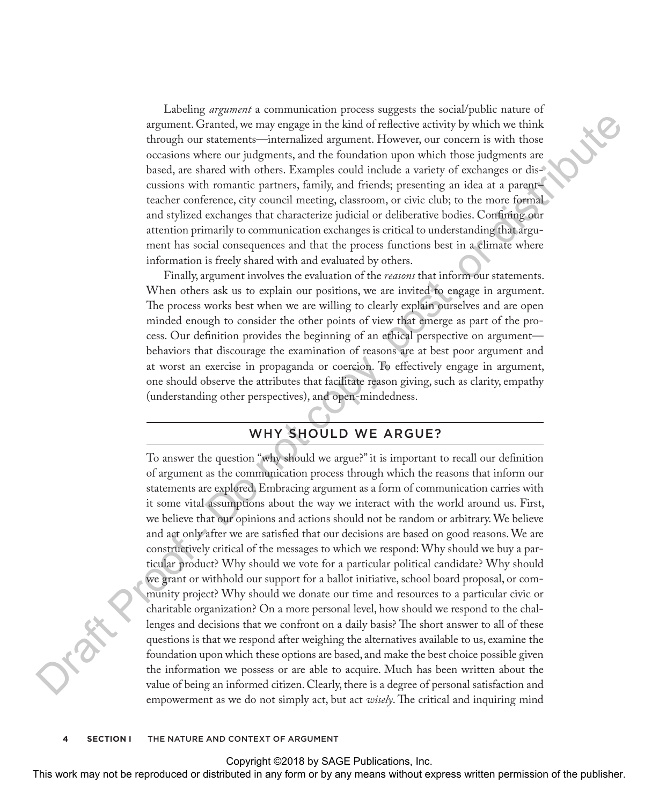Labeling *argument* a communication process suggests the social/public nature of argument. Granted, we may engage in the kind of reflective activity by which we think through our statements—internalized argument. However, our concern is with those occasions where our judgments, and the foundation upon which those judgments are based, are shared with others. Examples could include a variety of exchanges or discussions with romantic partners, family, and friends; presenting an idea at a parent– teacher conference, city council meeting, classroom, or civic club; to the more formal and stylized exchanges that characterize judicial or deliberative bodies. Confining our attention primarily to communication exchanges is critical to understanding that argument has social consequences and that the process functions best in a climate where information is freely shared with and evaluated by others.

Finally, argument involves the evaluation of the *reasons* that inform our statements. When others ask us to explain our positions, we are invited to engage in argument. The process works best when we are willing to clearly explain ourselves and are open minded enough to consider the other points of view that emerge as part of the process. Our definition provides the beginning of an ethical perspective on argument behaviors that discourage the examination of reasons are at best poor argument and at worst an exercise in propaganda or coercion. To effectively engage in argument, one should observe the attributes that facilitate reason giving, such as clarity, empathy (understanding other perspectives), and open-mindedness.

# WHY SHOULD WE ARGUE?

To answer the question "why should we argue?" it is important to recall our definition of argument as the communication process through which the reasons that inform our statements are explored. Embracing argument as a form of communication carries with it some vital assumptions about the way we interact with the world around us. First, we believe that our opinions and actions should not be random or arbitrary. We believe and act only after we are satisfied that our decisions are based on good reasons. We are constructively critical of the messages to which we respond: Why should we buy a particular product? Why should we vote for a particular political candidate? Why should we grant or withhold our support for a ballot initiative, school board proposal, or community project? Why should we donate our time and resources to a particular civic or charitable organization? On a more personal level, how should we respond to the challenges and decisions that we confront on a daily basis? The short answer to all of these questions is that we respond after weighing the alternatives available to us, examine the foundation upon which these options are based, and make the best choice possible given the information we possess or are able to acquire. Much has been written about the value of being an informed citizen. Clearly, there is a degree of personal satisfaction and empowerment as we do not simply act, but act *wisely*. The critical and inquiring mind sugmente Constraine and the form or by any field of the first or the form or by any field or the first or publishers. And the finding in providing the publisher and the publisher and the publisher angle of the publisher a

**4 SECTION I** THE NATURE AND CONTEXT OF ARGUMENT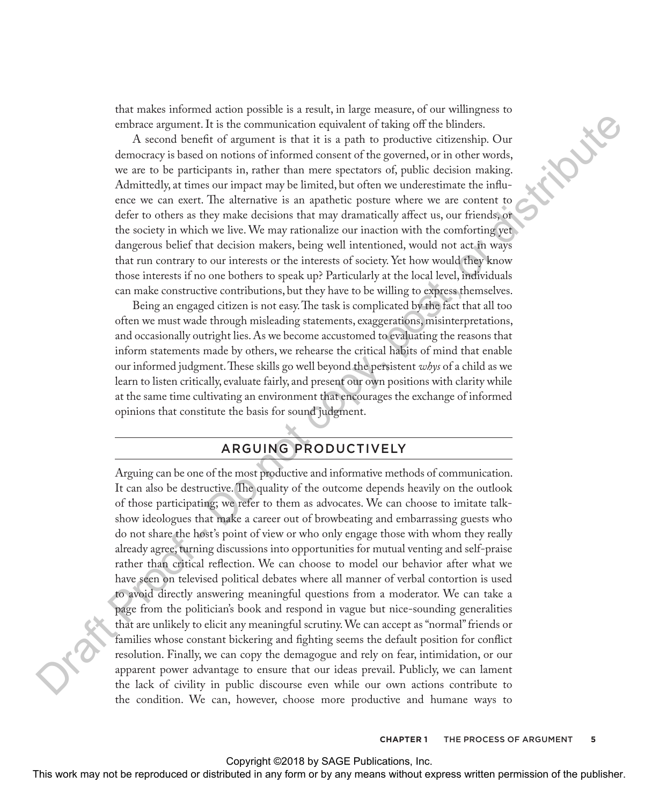that makes informed action possible is a result, in large measure, of our willingness to embrace argument. It is the communication equivalent of taking off the blinders.

A second benefit of argument is that it is a path to productive citizenship. Our democracy is based on notions of informed consent of the governed, or in other words, we are to be participants in, rather than mere spectators of, public decision making. Admittedly, at times our impact may be limited, but often we underestimate the influence we can exert. The alternative is an apathetic posture where we are content to defer to others as they make decisions that may dramatically affect us, our friends, or the society in which we live. We may rationalize our inaction with the comforting yet dangerous belief that decision makers, being well intentioned, would not act in ways that run contrary to our interests or the interests of society. Yet how would they know those interests if no one bothers to speak up? Particularly at the local level, individuals can make constructive contributions, but they have to be willing to express themselves.

Being an engaged citizen is not easy. The task is complicated by the fact that all too often we must wade through misleading statements, exaggerations, misinterpretations, and occasionally outright lies. As we become accustomed to evaluating the reasons that inform statements made by others, we rehearse the critical habits of mind that enable our informed judgment. These skills go well beyond the persistent *whys* of a child as we learn to listen critically, evaluate fairly, and present our own positions with clarity while at the same time cultivating an environment that encourages the exchange of informed opinions that constitute the basis for sound judgment.

# ARGUING PRODUCTIVELY

Arguing can be one of the most productive and informative methods of communication. It can also be destructive. The quality of the outcome depends heavily on the outlook of those participating; we refer to them as advocates. We can choose to imitate talkshow ideologues that make a career out of browbeating and embarrassing guests who do not share the host's point of view or who only engage those with whom they really already agree, turning discussions into opportunities for mutual venting and self-praise rather than critical reflection. We can choose to model our behavior after what we have seen on televised political debates where all manner of verbal contortion is used to avoid directly answering meaningful questions from a moderator. We can take a page from the politician's book and respond in vague but nice-sounding generalities that are unlikely to elicit any meaningful scrutiny. We can accept as "normal" friends or families whose constant bickering and fighting seems the default position for conflict resolution. Finally, we can copy the demagogue and rely on fear, intimidation, or our apparent power advantage to ensure that our ideas prevail. Publicly, we can lament the lack of civility in public discourse even while our own actions contribute to the condition. We can, however, choose more productive and humane ways to or the reproduced or distributed or distributed in any measure or the representation or distributed or distributed or distributed in a publisher or the publisher. The publisher was more than the publisher was more than t

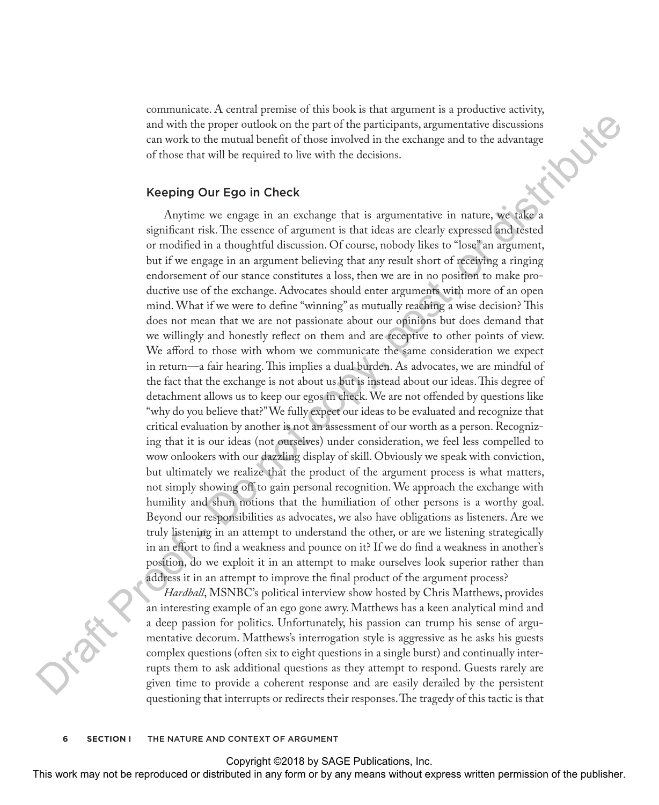communicate. A central premise of this book is that argument is a productive activity, and with the proper outlook on the part of the participants, argumentative discussions can work to the mutual benefit of those involved in the exchange and to the advantage of those that will be required to live with the decisions.

## Keeping Our Ego in Check

Anytime we engage in an exchange that is argumentative in nature, we take a significant risk. The essence of argument is that ideas are clearly expressed and tested or modified in a thoughtful discussion. Of course, nobody likes to "lose" an argument, but if we engage in an argument believing that any result short of receiving a ringing endorsement of our stance constitutes a loss, then we are in no position to make productive use of the exchange. Advocates should enter arguments with more of an open mind. What if we were to define "winning" as mutually reaching a wise decision? This does not mean that we are not passionate about our opinions but does demand that we willingly and honestly reflect on them and are receptive to other points of view. We afford to those with whom we communicate the same consideration we expect in return—a fair hearing. This implies a dual burden. As advocates, we are mindful of the fact that the exchange is not about us but is instead about our ideas. This degree of detachment allows us to keep our egos in check. We are not offended by questions like "why do you believe that?" We fully expect our ideas to be evaluated and recognize that critical evaluation by another is not an assessment of our worth as a person. Recognizing that it is our ideas (not ourselves) under consideration, we feel less compelled to wow onlookers with our dazzling display of skill. Obviously we speak with conviction, but ultimately we realize that the product of the argument process is what matters, not simply showing off to gain personal recognition. We approach the exchange with humility and shun notions that the humiliation of other persons is a worthy goal. Beyond our responsibilities as advocates, we also have obligations as listeners. Are we truly listening in an attempt to understand the other, or are we listening strategically in an effort to find a weakness and pounce on it? If we do find a weakness in another's position, do we exploit it in an attempt to make ourselves look superior rather than address it in an attempt to improve the final product of the argument process? From the proper or the publisher may not be reproduced to the publisher and the halo and the publisher was not be reproduced to the publisher. We are the publisher and the publisher of the publisher and the publisher. See

*Hardball*, MSNBC's political interview show hosted by Chris Matthews, provides an interesting example of an ego gone awry. Matthews has a keen analytical mind and a deep passion for politics. Unfortunately, his passion can trump his sense of argumentative decorum. Matthews's interrogation style is aggressive as he asks his guests complex questions (often six to eight questions in a single burst) and continually interrupts them to ask additional questions as they attempt to respond. Guests rarely are given time to provide a coherent response and are easily derailed by the persistent questioning that interrupts or redirects their responses. The tragedy of this tactic is that

**6 SECTION I** THE NATURE AND CONTEXT OF ARGUMENT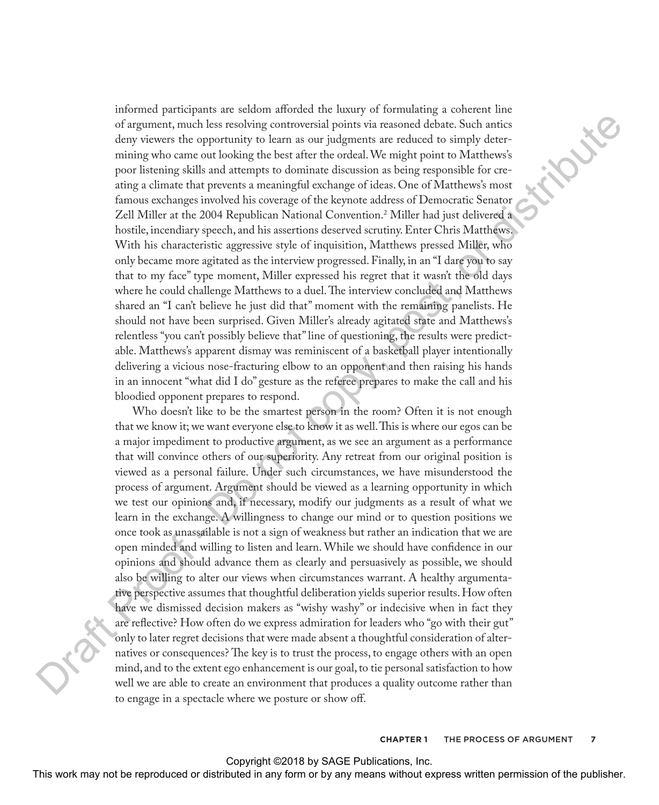informed participants are seldom afforded the luxury of formulating a coherent line of argument, much less resolving controversial points via reasoned debate. Such antics deny viewers the opportunity to learn as our judgments are reduced to simply determining who came out looking the best after the ordeal. We might point to Matthews's poor listening skills and attempts to dominate discussion as being responsible for creating a climate that prevents a meaningful exchange of ideas. One of Matthews's most famous exchanges involved his coverage of the keynote address of Democratic Senator Zell Miller at the 2004 Republican National Convention.2 Miller had just delivered a hostile, incendiary speech, and his assertions deserved scrutiny. Enter Chris Matthews. With his characteristic aggressive style of inquisition, Matthews pressed Miller, who only became more agitated as the interview progressed. Finally, in an "I dare you to say that to my face" type moment, Miller expressed his regret that it wasn't the old days where he could challenge Matthews to a duel. The interview concluded and Matthews shared an "I can't believe he just did that" moment with the remaining panelists. He should not have been surprised. Given Miller's already agitated state and Matthews's relentless "you can't possibly believe that" line of questioning, the results were predictable. Matthews's apparent dismay was reminiscent of a basketball player intentionally delivering a vicious nose-fracturing elbow to an opponent and then raising his hands in an innocent "what did I do" gesture as the referee prepares to make the call and his bloodied opponent prepares to respond.

Who doesn't like to be the smartest person in the room? Often it is not enough that we know it; we want everyone else to know it as well. This is where our egos can be a major impediment to productive argument, as we see an argument as a performance that will convince others of our superiority. Any retreat from our original position is viewed as a personal failure. Under such circumstances, we have misunderstood the process of argument. Argument should be viewed as a learning opportunity in which we test our opinions and, if necessary, modify our judgments as a result of what we learn in the exchange. A willingness to change our mind or to question positions we once took as unassailable is not a sign of weakness but rather an indication that we are open minded and willing to listen and learn. While we should have confidence in our opinions and should advance them as clearly and persuasively as possible, we should also be willing to alter our views when circumstances warrant. A healthy argumentative perspective assumes that thoughtful deliberation yields superior results. How often have we dismissed decision makers as "wishy washy" or indecisive when in fact they are reflective? How often do we express admiration for leaders who "go with their gut" only to later regret decisions that were made absent a thoughtful consideration of alternatives or consequences? The key is to trust the process, to engage others with an open mind, and to the extent ego enhancement is our goal, to tie personal satisfaction to how well we are able to create an environment that produces a quality outcome rather than to engage in a spectacle where we posture or show off. of garmets, much be reproduced to protocoverable points with respect to the representation or distributed in any form or the publisher or the results of the representation of the representation of the results of the resul

## **CHAPTER 1 THE PROCESS OF ARGUMENT 7**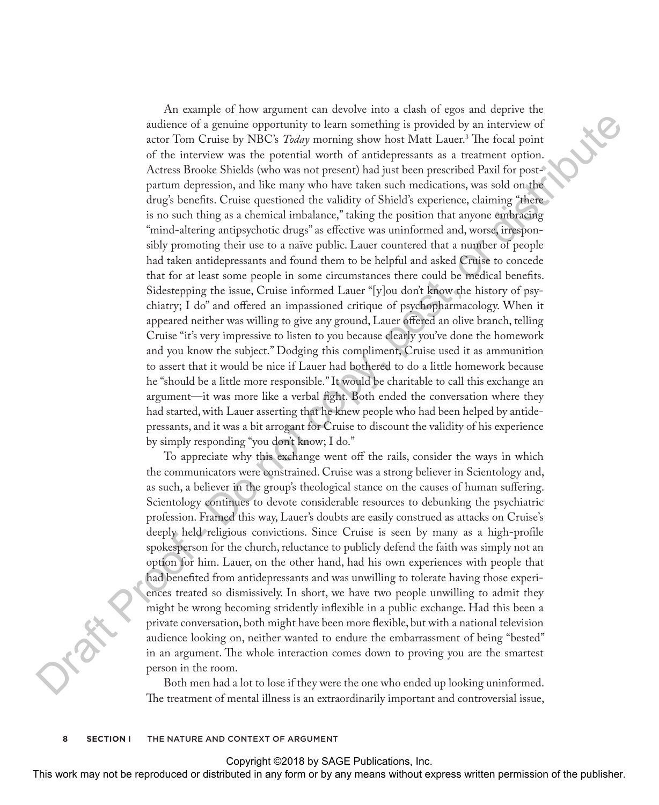An example of how argument can devolve into a clash of egos and deprive the audience of a genuine opportunity to learn something is provided by an interview of actor Tom Cruise by NBC's *Today* morning show host Matt Lauer.<sup>3</sup> The focal point of the interview was the potential worth of antidepressants as a treatment option. Actress Brooke Shields (who was not present) had just been prescribed Paxil for postpartum depression, and like many who have taken such medications, was sold on the drug's benefits. Cruise questioned the validity of Shield's experience, claiming "there is no such thing as a chemical imbalance," taking the position that anyone embracing "mind-altering antipsychotic drugs" as effective was uninformed and, worse, irresponsibly promoting their use to a naïve public. Lauer countered that a number of people had taken antidepressants and found them to be helpful and asked Cruise to concede that for at least some people in some circumstances there could be medical benefits. Sidestepping the issue, Cruise informed Lauer "[y]ou don't know the history of psychiatry; I do" and offered an impassioned critique of psychopharmacology. When it appeared neither was willing to give any ground, Lauer offered an olive branch, telling Cruise "it's very impressive to listen to you because clearly you've done the homework and you know the subject." Dodging this compliment, Cruise used it as ammunition to assert that it would be nice if Lauer had bothered to do a little homework because he "should be a little more responsible." It would be charitable to call this exchange an argument—it was more like a verbal fight. Both ended the conversation where they had started, with Lauer asserting that he knew people who had been helped by antidepressants, and it was a bit arrogant for Cruise to discount the validity of his experience by simply responding "you don't know; I do." Antistic method in any field or the reproduced or distributed in a publisher and the reproduced or distributed in any form or by any form or by any form or by any form or by any form or by any form or by any form or by an

To appreciate why this exchange went off the rails, consider the ways in which the communicators were constrained. Cruise was a strong believer in Scientology and, as such, a believer in the group's theological stance on the causes of human suffering. Scientology continues to devote considerable resources to debunking the psychiatric profession. Framed this way, Lauer's doubts are easily construed as attacks on Cruise's deeply held religious convictions. Since Cruise is seen by many as a high-profile spokesperson for the church, reluctance to publicly defend the faith was simply not an option for him. Lauer, on the other hand, had his own experiences with people that had benefited from antidepressants and was unwilling to tolerate having those experiences treated so dismissively. In short, we have two people unwilling to admit they might be wrong becoming stridently inflexible in a public exchange. Had this been a private conversation, both might have been more flexible, but with a national television audience looking on, neither wanted to endure the embarrassment of being "bested" in an argument. The whole interaction comes down to proving you are the smartest person in the room.

Both men had a lot to lose if they were the one who ended up looking uninformed. The treatment of mental illness is an extraordinarily important and controversial issue,

**8 SECTION I** THE NATURE AND CONTEXT OF ARGUMENT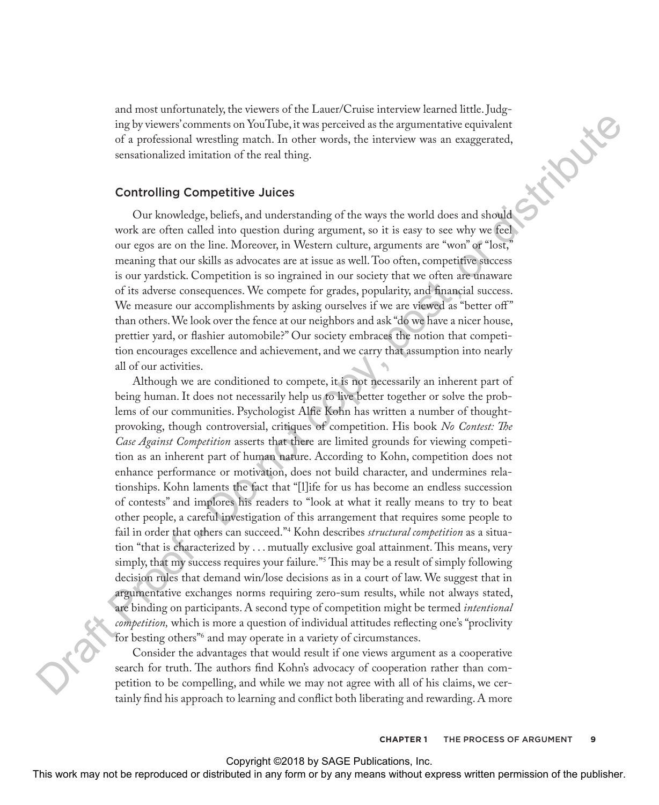and most unfortunately, the viewers of the Lauer/Cruise interview learned little. Judging by viewers' comments on YouTube, it was perceived as the argumentative equivalent of a professional wrestling match. In other words, the interview was an exaggerated, sensationalized imitation of the real thing.

# Controlling Competitive Juices

Our knowledge, beliefs, and understanding of the ways the world does and should work are often called into question during argument, so it is easy to see why we feel our egos are on the line. Moreover, in Western culture, arguments are "won" or "lost," meaning that our skills as advocates are at issue as well. Too often, competitive success is our yardstick. Competition is so ingrained in our society that we often are unaware of its adverse consequences. We compete for grades, popularity, and financial success. We measure our accomplishments by asking ourselves if we are viewed as "better off" than others. We look over the fence at our neighbors and ask "do we have a nicer house, prettier yard, or flashier automobile?" Our society embraces the notion that competition encourages excellence and achievement, and we carry that assumption into nearly all of our activities.

Although we are conditioned to compete, it is not necessarily an inherent part of being human. It does not necessarily help us to live better together or solve the problems of our communities. Psychologist Alfie Kohn has written a number of thoughtprovoking, though controversial, critiques of competition. His book *No Contest: The Case Against Competition* asserts that there are limited grounds for viewing competition as an inherent part of human nature. According to Kohn, competition does not enhance performance or motivation, does not build character, and undermines relationships. Kohn laments the fact that "[l]ife for us has become an endless succession of contests" and implores his readers to "look at what it really means to try to beat other people, a careful investigation of this arrangement that requires some people to fail in order that others can succeed."4 Kohn describes *structural competition* as a situation "that is characterized by . . . mutually exclusive goal attainment. This means, very simply, that my success requires your failure."5 This may be a result of simply following decision rules that demand win/lose decisions as in a court of law. We suggest that in argumentative exchanges norms requiring zero-sum results, while not always stated, are binding on participants. A second type of competition might be termed *intentional competition,* which is more a question of individual attitudes reflecting one's "proclivity for besting others"<sup>6</sup> and may operate in a variety of circumstances. The publisher of the representation of the reproduced is the supervoording equivalent or distributed in a subsequent of the results of the results of the publisher. The control of the publisher, and the publisher and the

Consider the advantages that would result if one views argument as a cooperative search for truth. The authors find Kohn's advocacy of cooperation rather than competition to be compelling, and while we may not agree with all of his claims, we certainly find his approach to learning and conflict both liberating and rewarding. A more

#### **CHAPTER 1 THE PROCESS OF ARGUMENT 9**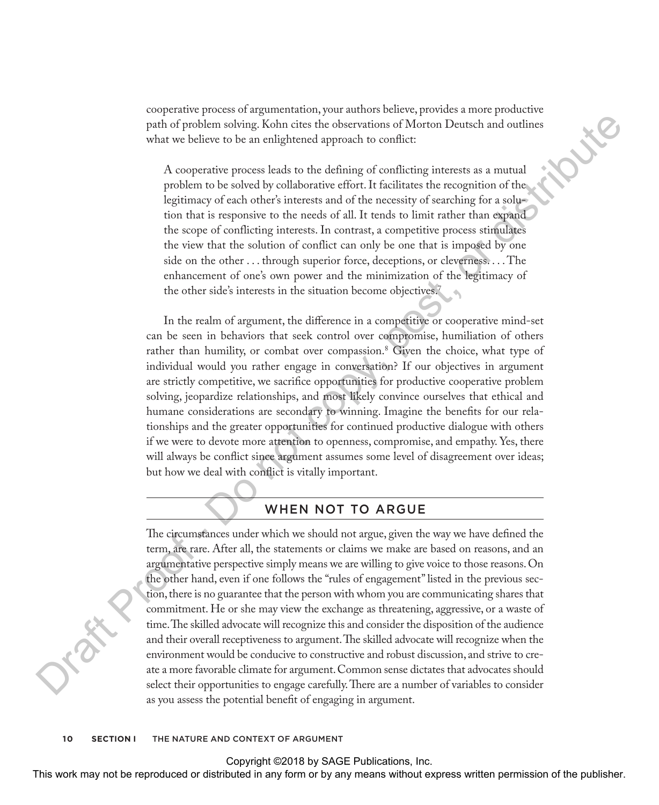cooperative process of argumentation, your authors believe, provides a more productive path of problem solving. Kohn cites the observations of Morton Deutsch and outlines what we believe to be an enlightened approach to conflict:

A cooperative process leads to the defining of conflicting interests as a mutual problem to be solved by collaborative effort. It facilitates the recognition of the legitimacy of each other's interests and of the necessity of searching for a solution that is responsive to the needs of all. It tends to limit rather than expand the scope of conflicting interests. In contrast, a competitive process stimulates the view that the solution of conflict can only be one that is imposed by one side on the other ... through superior force, deceptions, or cleverness... The enhancement of one's own power and the minimization of the legitimacy of the other side's interests in the situation become objectives.7

In the realm of argument, the difference in a competitive or cooperative mind-set can be seen in behaviors that seek control over compromise, humiliation of others rather than humility, or combat over compassion.<sup>8</sup> Given the choice, what type of individual would you rather engage in conversation? If our objectives in argument are strictly competitive, we sacrifice opportunities for productive cooperative problem solving, jeopardize relationships, and most likely convince ourselves that ethical and humane considerations are secondary to winning. Imagine the benefits for our relationships and the greater opportunities for continued productive dialogue with others if we were to devote more attention to openness, compromise, and empathy. Yes, there will always be conflict since argument assumes some level of disagreement over ideas; but how we deal with conflict is vitally important.

# WHEN NOT TO ARGUE

The circumstances under which we should not argue, given the way we have defined the term, are rare. After all, the statements or claims we make are based on reasons, and an argumentative perspective simply means we are willing to give voice to those reasons. On the other hand, even if one follows the "rules of engagement" listed in the previous section, there is no guarantee that the person with whom you are communicating shares that commitment. He or she may view the exchange as threatening, aggressive, or a waste of time. The skilled advocate will recognize this and consider the disposition of the audience and their overall receptiveness to argument. The skilled advocate will recognize when the environment would be conducive to constructive and robust discussion, and strive to create a more favorable climate for argument. Common sense dictates that advocates should select their opportunities to engage carefully. There are a number of variables to consider as you assess the potential benefit of engaging in argument. The original or distributed in a column or the original or Most may not be represented in any form or the publisher control or the publisher control of the publisher and the publisher of the publisher and the publisher an

**10 SECTION I** THE NATURE AND CONTEXT OF ARGUMENT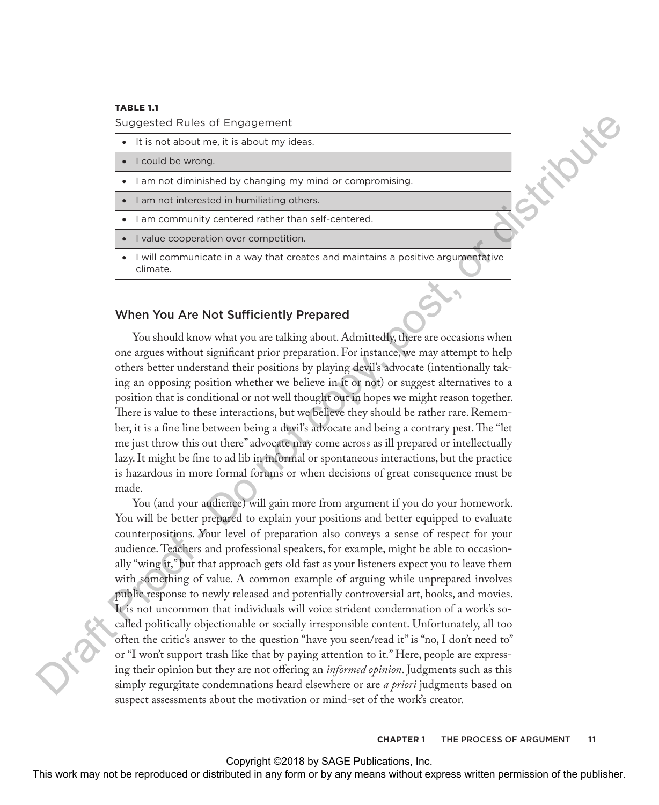## TABLE 1.1

#### Suggested Rules of Engagement

- • It is not about me, it is about my ideas.
- I could be wrong.
- • I am not diminished by changing my mind or compromising.
- I am not interested in humiliating others.
- • I am community centered rather than self-centered.
- I value cooperation over competition.
- I will communicate in a way that creates and maintains a positive argumentative climate.

## When You Are Not Sufficiently Prepared

You should know what you are talking about. Admittedly, there are occasions when one argues without significant prior preparation. For instance, we may attempt to help others better understand their positions by playing devil's advocate (intentionally taking an opposing position whether we believe in it or not) or suggest alternatives to a position that is conditional or not well thought out in hopes we might reason together. There is value to these interactions, but we believe they should be rather rare. Remember, it is a fine line between being a devil's advocate and being a contrary pest. The "let me just throw this out there" advocate may come across as ill prepared or intellectually lazy. It might be fine to ad lib in informal or spontaneous interactions, but the practice is hazardous in more formal forums or when decisions of great consequence must be made.

You (and your audience) will gain more from argument if you do your homework. You will be better prepared to explain your positions and better equipped to evaluate counterpositions. Your level of preparation also conveys a sense of respect for your audience. Teachers and professional speakers, for example, might be able to occasionally "wing it," but that approach gets old fast as your listeners expect you to leave them with something of value. A common example of arguing while unprepared involves public response to newly released and potentially controversial art, books, and movies. It is not uncommon that individuals will voice strident condemnation of a work's socalled politically objectionable or socially irresponsible content. Unfortunately, all too often the critic's answer to the question "have you seen/read it" is "no, I don't need to" or "I won't support trash like that by paying attention to it." Here, people are expressing their opinion but they are not offering an *informed opinion*. Judgments such as this simply regurgitate condemnations heard elsewhere or are *a priori* judgments based on suspect assessments about the motivation or mind-set of the work's creator. **From the representation of the representation** or distributed in any form or the representation of the representation of the representation of the representation of the representation of the representation of the represe

#### **CHAPTER 1 THE PROCESS OF ARGUMENT 11**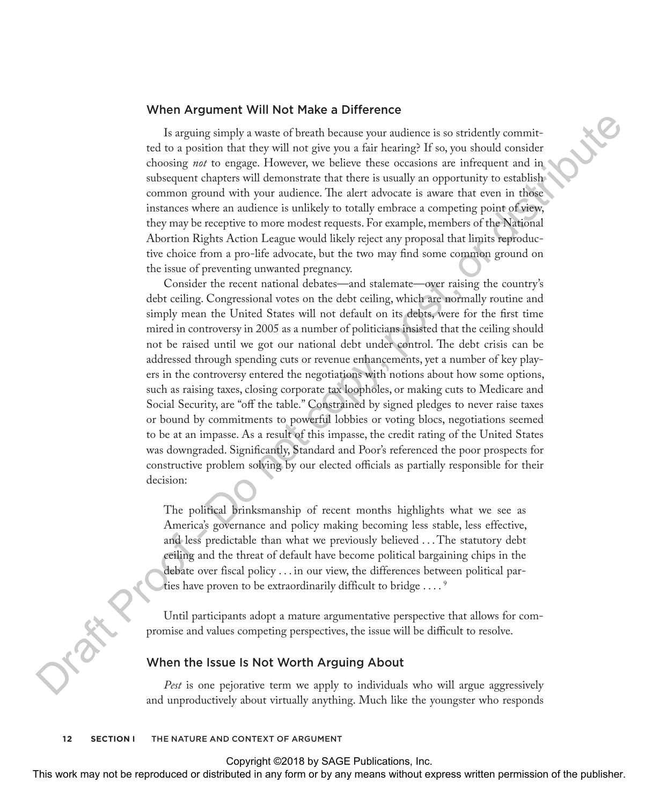## When Argument Will Not Make a Difference

Is arguing simply a waste of breath because your audience is so stridently committed to a position that they will not give you a fair hearing? If so, you should consider choosing *not* to engage. However, we believe these occasions are infrequent and in subsequent chapters will demonstrate that there is usually an opportunity to establish common ground with your audience. The alert advocate is aware that even in those instances where an audience is unlikely to totally embrace a competing point of view, they may be receptive to more modest requests. For example, members of the National Abortion Rights Action League would likely reject any proposal that limits reproductive choice from a pro-life advocate, but the two may find some common ground on the issue of preventing unwanted pregnancy.

Consider the recent national debates—and stalemate—over raising the country's debt ceiling. Congressional votes on the debt ceiling, which are normally routine and simply mean the United States will not default on its debts, were for the first time mired in controversy in 2005 as a number of politicians insisted that the ceiling should not be raised until we got our national debt under control. The debt crisis can be addressed through spending cuts or revenue enhancements, yet a number of key players in the controversy entered the negotiations with notions about how some options, such as raising taxes, closing corporate tax loopholes, or making cuts to Medicare and Social Security, are "off the table." Constrained by signed pledges to never raise taxes or bound by commitments to powerful lobbies or voting blocs, negotiations seemed to be at an impasse. As a result of this impasse, the credit rating of the United States was downgraded. Significantly, Standard and Poor's referenced the poor prospects for constructive problem solving by our elected officials as partially responsible for their decision: This work may have a streamed to an other through the reproduced or distributed in a publisher or distributed in any form or distributed in any form or distributed or distributed in any form or distributed in any form or

The political brinksmanship of recent months highlights what we see as America's governance and policy making becoming less stable, less effective, and less predictable than what we previously believed . . .The statutory debt ceiling and the threat of default have become political bargaining chips in the debate over fiscal policy . . . in our view, the differences between political parties have proven to be extraordinarily difficult to bridge  $\ldots$ .

Until participants adopt a mature argumentative perspective that allows for compromise and values competing perspectives, the issue will be difficult to resolve.

## When the Issue Is Not Worth Arguing About

*Pest* is one pejorative term we apply to individuals who will argue aggressively and unproductively about virtually anything. Much like the youngster who responds

**12 SECTION I** THE NATURE AND CONTEXT OF ARGUMENT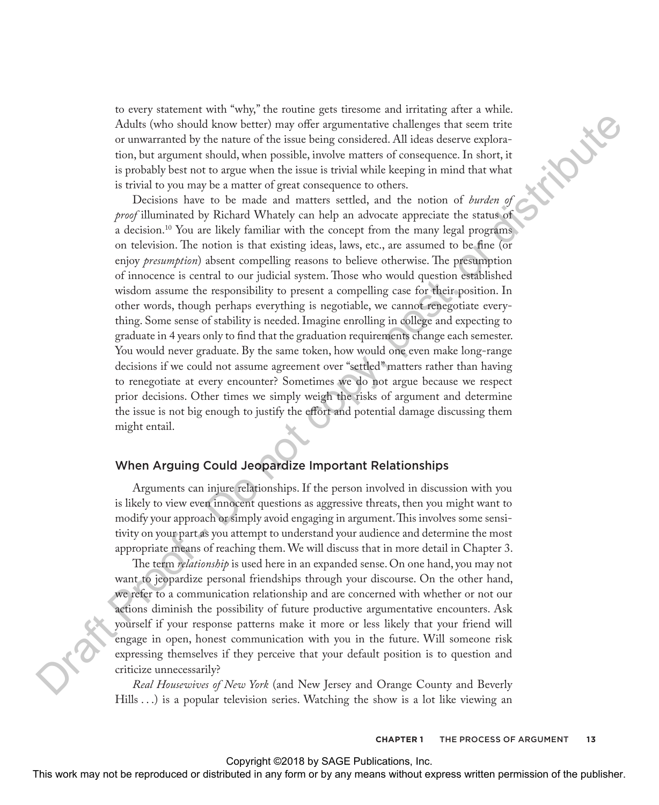to every statement with "why," the routine gets tiresome and irritating after a while. Adults (who should know better) may offer argumentative challenges that seem trite or unwarranted by the nature of the issue being considered. All ideas deserve exploration, but argument should, when possible, involve matters of consequence. In short, it is probably best not to argue when the issue is trivial while keeping in mind that what is trivial to you may be a matter of great consequence to others.

Decisions have to be made and matters settled, and the notion of *burden of proof* illuminated by Richard Whately can help an advocate appreciate the status of a decision.<sup>10</sup> You are likely familiar with the concept from the many legal programs on television. The notion is that existing ideas, laws, etc., are assumed to be fine (or enjoy *presumption*) absent compelling reasons to believe otherwise. The presumption of innocence is central to our judicial system. Those who would question established wisdom assume the responsibility to present a compelling case for their position. In other words, though perhaps everything is negotiable, we cannot renegotiate everything. Some sense of stability is needed. Imagine enrolling in college and expecting to graduate in 4 years only to find that the graduation requirements change each semester. You would never graduate. By the same token, how would one even make long-range decisions if we could not assume agreement over "settled" matters rather than having to renegotiate at every encounter? Sometimes we do not argue because we respect prior decisions. Other times we simply weigh the risks of argument and determine the issue is not big enough to justify the effort and potential damage discussing them might entail. And to consider the rest of the considered or distributed in any form of the reproduced or distributed in any form or  $\sim$  by any means with the publisher permission of the publisher. The company of the publisher of the p

# When Arguing Could Jeopardize Important Relationships

Arguments can injure relationships. If the person involved in discussion with you is likely to view even innocent questions as aggressive threats, then you might want to modify your approach or simply avoid engaging in argument. This involves some sensitivity on your part as you attempt to understand your audience and determine the most appropriate means of reaching them. We will discuss that in more detail in Chapter 3.

The term *relationship* is used here in an expanded sense. On one hand, you may not want to jeopardize personal friendships through your discourse. On the other hand, we refer to a communication relationship and are concerned with whether or not our actions diminish the possibility of future productive argumentative encounters. Ask yourself if your response patterns make it more or less likely that your friend will engage in open, honest communication with you in the future. Will someone risk expressing themselves if they perceive that your default position is to question and criticize unnecessarily?

*Real Housewives of New York* (and New Jersey and Orange County and Beverly Hills . . .) is a popular television series. Watching the show is a lot like viewing an

#### **CHAPTER 1 THE PROCESS OF ARGUMENT 13**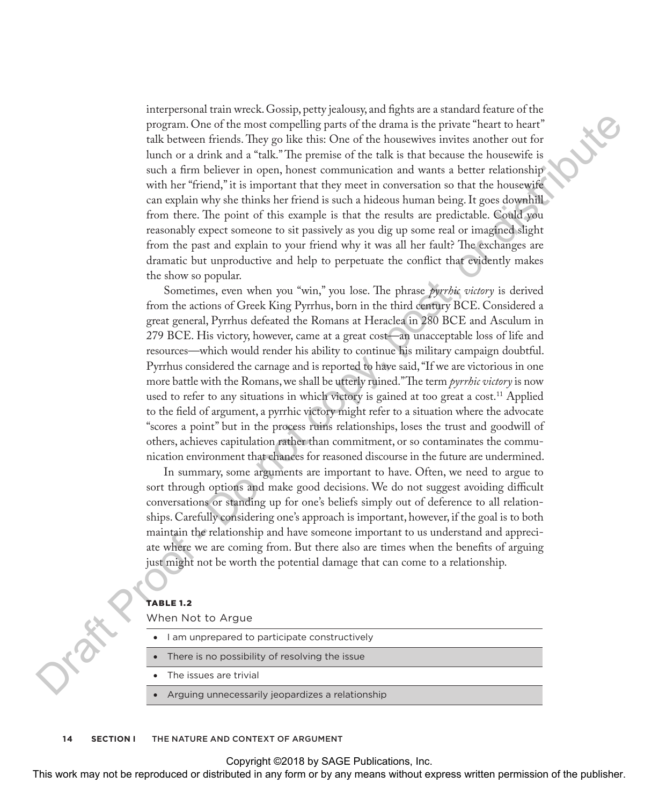interpersonal train wreck. Gossip, petty jealousy, and fights are a standard feature of the program. One of the most compelling parts of the drama is the private "heart to heart" talk between friends. They go like this: One of the housewives invites another out for lunch or a drink and a "talk." The premise of the talk is that because the housewife is such a firm believer in open, honest communication and wants a better relationship with her "friend," it is important that they meet in conversation so that the housewife can explain why she thinks her friend is such a hideous human being. It goes downhill from there. The point of this example is that the results are predictable. Could you reasonably expect someone to sit passively as you dig up some real or imagined slight from the past and explain to your friend why it was all her fault? The exchanges are dramatic but unproductive and help to perpetuate the conflict that evidently makes the show so popular.

Sometimes, even when you "win," you lose. The phrase *pyrrhic victory* is derived from the actions of Greek King Pyrrhus, born in the third century BCE. Considered a great general, Pyrrhus defeated the Romans at Heraclea in 280 BCE and Asculum in 279 BCE. His victory, however, came at a great cost—an unacceptable loss of life and resources—which would render his ability to continue his military campaign doubtful. Pyrrhus considered the carnage and is reported to have said, "If we are victorious in one more battle with the Romans, we shall be utterly ruined." The term *pyrrhic victory* is now used to refer to any situations in which victory is gained at too great a cost.<sup>11</sup> Applied to the field of argument, a pyrrhic victory might refer to a situation where the advocate "scores a point" but in the process ruins relationships, loses the trust and goodwill of others, achieves capitulation rather than commitment, or so contaminates the communication environment that chances for reasoned discourse in the future are undermined. program of the rest may not be repressed to the relations in the priority between to the relationship with  $\alpha$  at dividends  $\alpha$  a dividends  $\alpha$  in a dividend  $\alpha$  in a dividend in a dividend in a dividend in a dividend

In summary, some arguments are important to have. Often, we need to argue to sort through options and make good decisions. We do not suggest avoiding difficult conversations or standing up for one's beliefs simply out of deference to all relationships. Carefully considering one's approach is important, however, if the goal is to both maintain the relationship and have someone important to us understand and appreciate where we are coming from. But there also are times when the benefits of arguing just might not be worth the potential damage that can come to a relationship.

#### TABLE 1.2

When Not to Argue

- I am unprepared to participate constructively
- There is no possibility of resolving the issue
- The issues are trivial
- Arguing unnecessarily jeopardizes a relationship

**14 SECTION I** THE NATURE AND CONTEXT OF ARGUMENT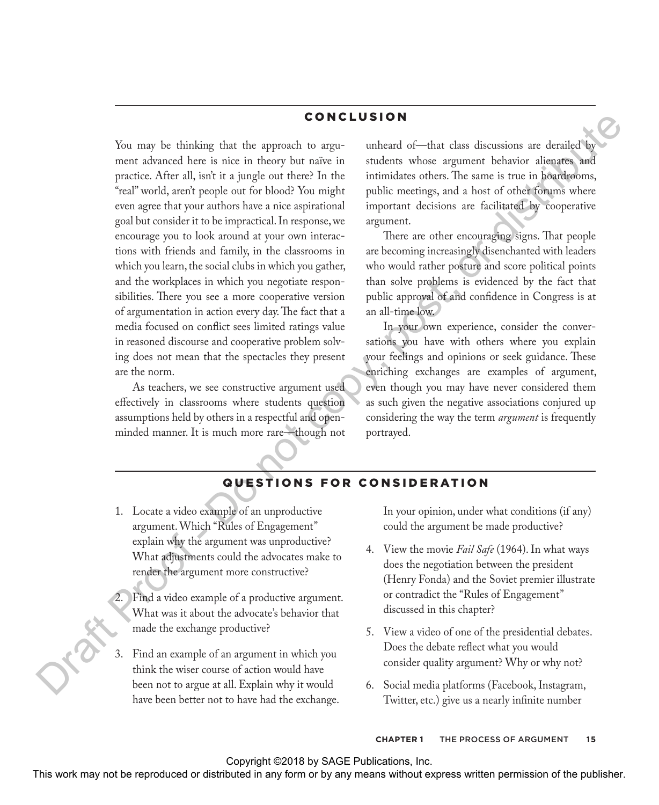# CONCLUSION

You may be thinking that the approach to argument advanced here is nice in theory but naïve in practice. After all, isn't it a jungle out there? In the "real" world, aren't people out for blood? You might even agree that your authors have a nice aspirational goal but consider it to be impractical. In response, we encourage you to look around at your own interactions with friends and family, in the classrooms in which you learn, the social clubs in which you gather, and the workplaces in which you negotiate responsibilities. There you see a more cooperative version of argumentation in action every day. The fact that a media focused on conflict sees limited ratings value in reasoned discourse and cooperative problem solving does not mean that the spectacles they present are the norm. You may be this<br>line of the appears in a proposition or distributed in the stational value of the removale any<br>annihilation show that the station of the station of the station of the<br>station of the station of the station

As teachers, we see constructive argument used effectively in classrooms where students question assumptions held by others in a respectful and openminded manner. It is much more rare—though not

unheard of—that class discussions are derailed by students whose argument behavior alienates and intimidates others. The same is true in boardrooms, public meetings, and a host of other forums where important decisions are facilitated by cooperative argument.

There are other encouraging signs. That people are becoming increasingly disenchanted with leaders who would rather posture and score political points than solve problems is evidenced by the fact that public approval of and confidence in Congress is at an all-time low.

In your own experience, consider the conversations you have with others where you explain your feelings and opinions or seek guidance. These enriching exchanges are examples of argument, even though you may have never considered them as such given the negative associations conjured up considering the way the term *argument* is frequently portrayed.

# QUESTIONS FOR CONSIDERATION

- 1. Locate a video example of an unproductive argument. Which "Rules of Engagement" explain why the argument was unproductive? What adjustments could the advocates make to render the argument more constructive?
- Find a video example of a productive argument. What was it about the advocate's behavior that made the exchange productive?
- 3. Find an example of an argument in which you think the wiser course of action would have been not to argue at all. Explain why it would have been better not to have had the exchange.

In your opinion, under what conditions (if any) could the argument be made productive?

- 4. View the movie *Fail Safe* (1964). In what ways does the negotiation between the president (Henry Fonda) and the Soviet premier illustrate or contradict the "Rules of Engagement" discussed in this chapter?
- 5. View a video of one of the presidential debates. Does the debate reflect what you would consider quality argument? Why or why not?
- 6. Social media platforms (Facebook, Instagram, Twitter, etc.) give us a nearly infinite number